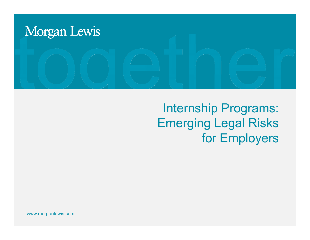

# Internship Programs: Emerging Legal Risks for Employers

www.morganlewis.com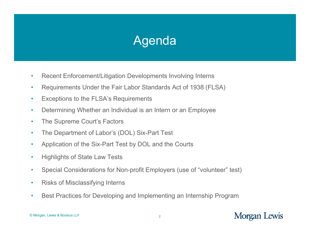# Agenda

- •Recent Enforcement/Litigation Developments Involving Interns
- •Requirements Under the Fair Labor Standards Act of 1938 (FLSA)
- •Exceptions to the FLSA's Requirements
- •Determining Whether an Individual is an Intern or an Employee
- •The Supreme Court's Factors
- •The Department of Labor's (DOL) Six-Part Test
- •Application of the Six-Part Test by DOL and the Courts
- •Highlights of State Law Tests
- •Special Considerations for Non-profit Employers (use of "volunteer" test)
- •Risks of Misclassifying Interns
- •• Best Practices for Developing and Implementing an Internship Program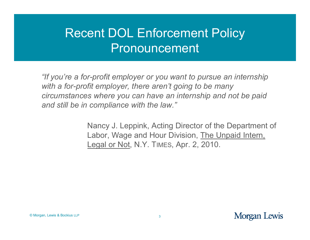# Recent DOL Enforcement Policy Pronouncement

"If you're a for-profit employer or you want to pursue an internship *with a for-profit employer, there aren't going to be many circumstances where you can have an internship and not be paid and still be in compliance with the law " compliance the law.*

> Nancy J. Leppink, Acting Director of the Department of Labor, Wage and Hour Division, The Unpaid Intern, Legal or Not, N.Y. TIMES, Apr. 2, 2010.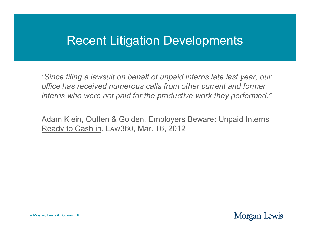### Recent Litigation Developments

"Since filing a lawsuit on behalf of unpaid interns late last year, our *office has received numerous calls from other current and former interns who were not paid for the productive work they performed."* 

Adam Klein, Outten & Golden, Employers Beware: Unpaid Interns Ready to Cash in, LAW360, Mar. 16, 2012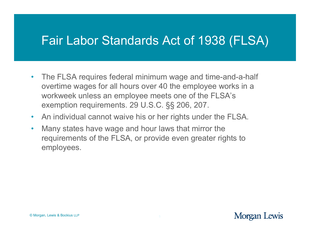### Fair Labor Standards Act of 1938 (FLSA)

- •• The FLSA requires federal minimum wage and time-and-a-half overtime wages for all hours over 40 the employee works in a workweek unless an employee meets one of the FLSA's exemption requirements. 29 U.S.C. §§ 206, 207.
- $\bullet$ An individual cannot waive his or her rights under the FLSA.
- $\bullet$  Many states have wage and hour laws that mirror the requirements of the FLSA, or provide even greater rights to employees.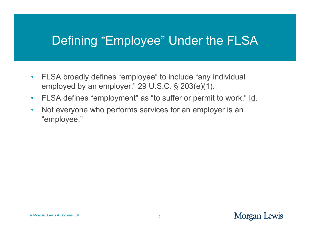## Defining "Employee" Under the FLSA

- $\bullet$ FLSA broadly defines "employee" to include "any individual employed by an employer." 29 U.S.C. § 203(e)(1).
- $\bullet$ FLSA defines "employment" as "to suffer or permit to work." Id.
- $\bullet$  Not everyone who performs services for an employer is an "employee."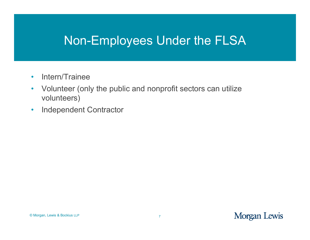### Non-Employees Under the FLSA

- $\bullet$ • Intern/Trainee
- $\bullet$  Volunteer (only the public and nonprofit sectors can utilize volunteers)
- $\bullet$ Independent Contractor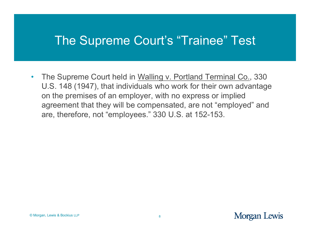### The Supreme Court's "Trainee" Test

•• The Supreme Court held in Walling v. Portland Terminal Co., 330 U.S. 148 (1947), that individuals who work for their own advantage on the premises of an employer, with no express or implied agreement that they will be compensated, are not "employed" and are, therefore, not "employees." 330 U.S. at 152-153.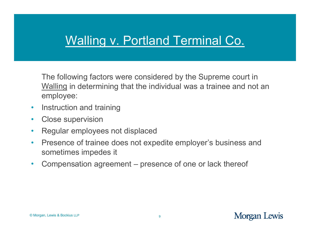### Walling v. Portland Terminal Co.

The following factors were considered by the Supreme court in Walling in determining that the individual was a trainee and not an employee:

- $\bullet$ • Instruction and training
- $\bullet$ Close supervision
- $\bullet$ • Regular employees not displaced
- $\bullet$  Presence of trainee does not expedite employer's business and sometimes impedes it
- $\bullet$  Compensation agreement – presence of one or lack thereof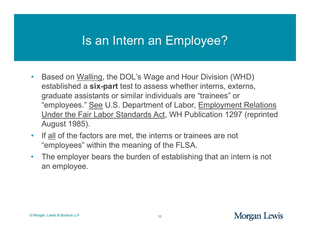### Is an Intern an Employee?

- $\bullet$ • Based on Walling, the DOL's Wage and Hour Division (WHD) established a **six-part** test to assess whether interns, externs, graduate assistants or similar individuals are "trainees" or "employees." See U.S. Department of Labor, Employment Relations Under the Fair Labor Standards Act, WH Publication 1297 (reprinted August 1985).
- $\bullet$ If all of the factors are met, the interns or trainees are not "employees" within the meaning of the FLSA.
- $\bullet$  The employer bears the burden of establishing that an intern is not an employee.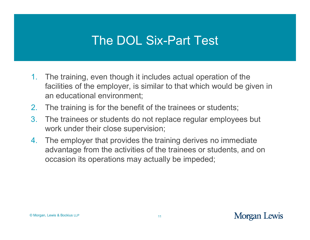## The DOL Six-Part Test

- 1. The training, even though it includes actual operation of the facilities of the employer, is similar to that which would be given in an educational environment;
- 2.The training is for the benefit of the trainees or students;
- 3. The trainees or students do not replace regular employees but work under their close supervision;
- 4. The employer that provides the training derives no immediate advantage from the activities of the trainees or students, and on occasion its operations may actually be impeded;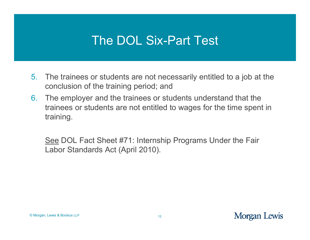### The DOL Six-Part Test

- 5. The trainees or students are not necessarily entitled to a job at the  $\,$ conclusion of the training period; and
- 6. The employer and the trainees or students understand that the trainees or students are not entitled to wages for the time spent in training.

<u>See</u> DOL Fact Sheet #71: Internship Programs Under the Fair Labor Standards Act (April 2010).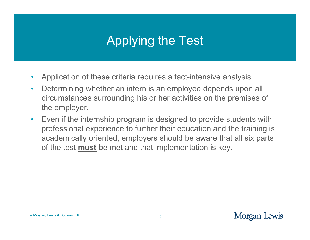# Applying the Test

- $\bullet$ Application of these criteria requires a fact-intensive analysis.
- $\bullet$  Determining whether an intern is an employee depends upon all circumstances surrounding his or her activities on the premises of the employer.
- • Even if the internship program is designed to provide students with professional experience to further their education and the training is academically oriented, employers should be aware that all six parts of the test **must** be met and that implementation is key.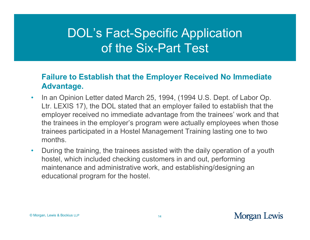### **Failure to Establish that the Employer Received No Immediate Advantage.**

- • In an Opinion Letter dated March 25, 1994, (1994 U.S. Dept. of Labor Op. Ltr. LEXIS 17), the DOL stated that an employer failed to establish that the employer received no immediate advantage from the trainees' work and that the trainees in the employer's program were actually employees when those trainees participated in a Hostel Management Training lasting one to two months.
- $\bullet$  During the training, the trainees assisted with the daily operation of a youth hostel, which included checking customers in and out, performing maintenance and administrative work, and establishing/designing an educational program for the hostel.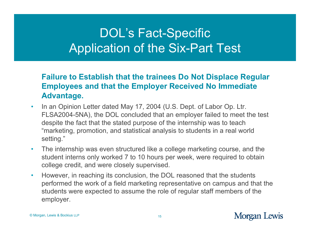### **Failure to Establish that the trainees Do Not Displace Regular Employees and that the Employer Received No Immediate Advantage.**

- $\bullet$ • In an Opinion Letter dated May 17, 2004 (U.S. Dept. of Labor Op. Ltr. FLSA2004-5NA), the DOL concluded that an employer failed to meet the test despite the fact that the stated purpose of the internship was to teach "marketing, promotion, and statistical analysis to students in a real world setting."
- • The internship was even structured like a college marketing course, and the student interns only worked 7 to 10 hours per week, were required to obtain college credit, and were closely supervised.
- • However, in reaching its conclusion, the DOL reasoned that the students performed the work of a field marketing representative on campus and that the students were expected to assume the role of regular staff members of the employer.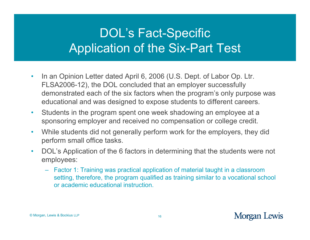- $\bullet$ • In an Opinion Letter dated April 6, 2006 (U.S. Dept. of Labor Op. Ltr. FLSA2006-12), the DOL concluded that an employer successfully demonstrated each of the six factors when the program's only purpose was educational and was designed to expose students to different careers.
- $\bullet$  Students in the program spent one week shadowing an employee at a sponsoring employer and received no compensation or college credit.
- $\bullet$ • While students did not generally perform work for the employers, they did perform small office tasks.
- $\bullet$  DOL's Application of the 6 factors in determining that the students were not employees:
	- Factor 1: Training was practical application of material taught in a classroom setting, therefore, the program qualified as training similar to a vocational school or academic educational instruction.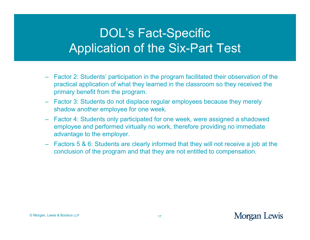- Factor 2: Students' participation in the program facilitated their observation of the practical application of what they learned in the classroom so they received the primary benefit from the program.
- Factor 3: Students do not displace regular employees because they merely shadow another employee for one week.
- Factor 4: Students only participated for one week, were assigned a shadowed employee and performed virtually no work, therefore providing no immediate advantage to the employer.
- Factors 5 & 6: Students are clearly informed that they will not receive a job at the conclusion of the program and that they are not entitled to compensation.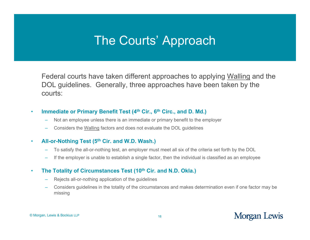### The Courts' Approach

Federal courts have taken different approaches to applying <u>Walling</u> and the DOL guidelines. Generally, three approaches have been taken by the courts:

#### •**Immediate or Primary Benefit Test (4<sup>th</sup> Cir., 6<sup>th</sup> Circ., and D. Md.)**

- Not an employee unless there is an immediate or primary benefit to the employer
- Considers the Walling factors and does not evaluate the DOL guidelines

#### •**All-or-Nothing Test (5th Cir. and W.D. Wash.)**

- To satisfy the all-or-nothing test, an employer must meet all six of the criteria set forth by the DOL
- If the employer is unable to establish a single factor, then the individual is classified as an employee

#### •**The Totality of Circumstances Test (10th Cir. and N.D. Okla.)**

- Rejects all-or-nothing application of the guidelines
- Considers guidelines in the totality of the circumstances and makes determination even if one factor may be missing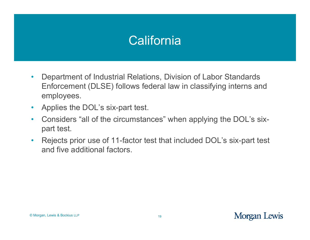## **California**

- $\bullet$ • Department of Industrial Relations, Division of Labor Standards Enforcement (DLSE) follows federal law in classifying interns and employees.
- $\bullet$ Applies the DOL's six-part test.
- $\bullet$  Considers "all of the circumstances" when applying the DOL's sixpart test.
- $\bullet$  Rejects prior use of 11-factor test that included DOL's six-part test and five additional factors.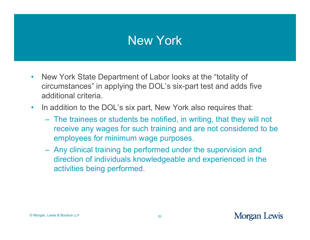### New York

- $\bullet$ • New York State Department of Labor looks at the "totality of circumstances" in applying the DOL's six-part test and adds five additional criteria.
- $\bullet$ In addition to the DOL's six part, New York also requires that:
	- The trainees or students be notified, in writing, that they will not receive any wages for such training and are not considered to be employees for minimum wage purposes.
	- Any clinical training be performed under the supervision and direction of individuals knowledgeable and experienced in the activities being performed.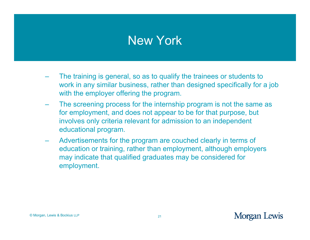### New York

- The training is general, so as to qualify the trainees or students to work in any similar business, rather than designed specifically for a job with the employer offering the program.
- The screening process for the internship program is not the same as for employment, and does not appear to be for that purpose, but involves only criteria relevant for admission to an independent educational program.
- Advertisements for the program are couched clearly in terms of education or training, rather than employment, although employers may indicate that qualified graduates may be considered for employment.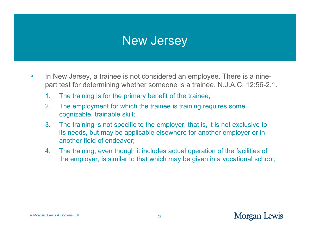### New Jersey

- $\bullet$ In New Jersey, a trainee is not considered an employee. There is a ninepart test for determining whether someone is a trainee. N.J.A.C. 12:56-2.1.
	- 1. The training is for the primary benefit of the trainee;
	- 2.The employment for which the trainee is training requires some cognizable, trainable skill;
	- 3. The training is not specific to the employer, that is, it is not exclusive to its needs, but may be applicable elsewhere for another employer or in another field of endeavor;
	- 4. The training, even though it includes actual operation of the facilities of the employer, is similar to that which may be given in a vocational school;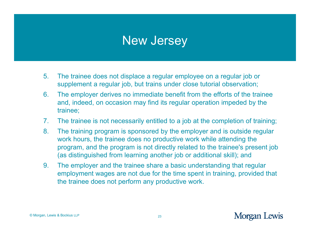### New Jersey

- 5.The trainee does not displace a regular employee on a regular job or supplement a regular job, but trains under close tutorial observation;
- 6. The employer derives no immediate benefit from the efforts of the trainee and, indeed, on occasion may find its regular operation impeded by the trainee;
- 7. The trainee is not necessarily entitled to a job at the completion of training;
- 8. The training program is sponsored by the employer and is outside regular work hours, the trainee does no productive work while attending the program, and the program is not directly related to the trainee's present job (as distinguished from learning another job or additional skill); and
- 9.The employer and the trainee share a basic understanding that regular employment wages are not due for the time spent in training, provided that the trainee does not perform any productive work.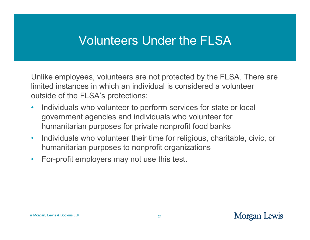### Volunteers Under the FLSA

Unlike employees, volunteers are not protected by the FLSA. There are limited instances in which an individual is considered a volunteer outside of the FLSA's protections:

- $\bullet$ • Individuals who volunteer to perform services for state or local government agencies and individuals who volunteer for humanitarian purposes for private nonprofit food banks
- $\bullet$  Individuals who volunteer their time for religious, charitable, civic, or humanitarian purposes to nonprofit organizations
- •For-profit employers may not use this test.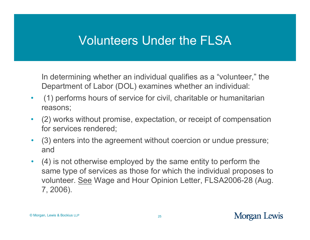### Volunteers Under the FLSA

In determining whether an individual qualifies as a "volunteer," the Department of Labor (DOL) examines whether an individual:

- $\bullet$  (1) performs hours of service for civil, charitable or humanitarian reasons;
- $\bullet$  (2) works without promise, expectation, or receipt of compensation for services rendered;
- $\bullet$  (3) enters into the agreement without coercion or undue pressure; and
- $\bullet$ (4) is not otherwise employed by the same entity to perform the same type of services as those for which the individual proposes to volunteer. <u>See</u> Wage and Hour Opinion Letter, FLSA2006-28 (Aug. 7, 2006).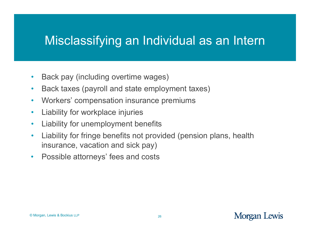### Misclassifying an Individual as an Intern

- $\bullet$ • Back pay (including overtime wages)
- $\bullet$ Back taxes (payroll and state employment taxes)
- $\bullet$ Workers' compensation insurance premiums
- $\bullet$ Liability for workplace injuries
- $\bullet$ Liability for unemployment benefits
- $\bullet$ Liability for fringe benefits not provided (pension plans, health insurance, vacation and sick pay)
- $\bullet$ Possible attorneys' fees and costs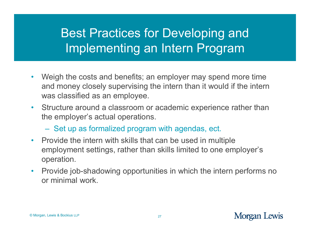# Best Practices for Developing and Implementing an Intern Program

- $\bullet$ • Weigh the costs and benefits; an employer may spend more time and money closely supervising the intern than it would if the intern was classified as an employee.
- Structure around a classroom or academic experience rather than the employer's actual operations.
	- Set up as formalized program with agendas, ect.
- Provide the intern with skills that can be used in multiple employment settings, rather than skills limited to one employer's operation.
- $\bullet$  Provide job-shadowing opportunities in which the intern performs no or minimal work.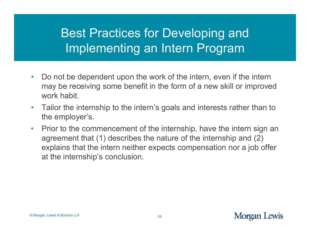# Best Practices for Developing and Implementing an Intern Program

- $\bullet$ • Do not be dependent upon the work of the intern, even if the intern may be receiving some benefit in the form of a new skill or improved work habit.
- $\bullet$ • Tailor the internship to the intern's goals and interests rather than to the employer's.
- $\bullet$  Prior to the commencement of the internship, have the intern sign an agreement that (1) describes the nature of the internship and (2) explains that the intern neither expects compensation nor a job offer at the internship's conclusion.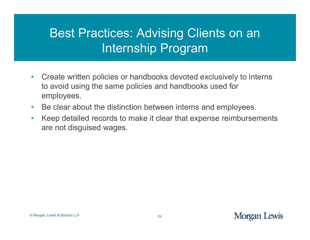# Best Practices: Advising Clients on an Internship Program

- $\bullet$ • Create written policies or handbooks devoted exclusively to interns to avoid using the same policies and handbooks used for employees.
- $\bullet$  $\bullet$  Be clear about the distinction between interns and employees.
- $\bullet$  Keep detailed records to make it clear that expense reimbursements are not disguised wages.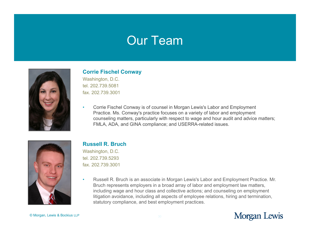### Our Team



#### **Corrie Fischel Conway**

Washington, D.C. tel. 202.739.5081fax. 202.739.3001

• Corrie Fischel Conway is of counsel in Morgan Lewis's Labor and Employment Practice. Ms. Conway's practice focuses on a variety of labor and employment counseling matters, particularly with respect to wage and hour audit and advice matters; FMLA, ADA, and GINA compliance; and USERRA-related issues.



#### **Russell R. Bruch**

Washington, D.C. tel. 202.739.5293fax 202 739 3001 fax. 202.739.3001

• Russell R. Bruch is an associate in Morgan Lewis's Labor and Employment Practice. Mr. Bruch represents employers in a broad array of labor and employment law matters, including wage and hour class and collective actions; and counseling on employment litigation avoidance, including all aspects of employee relations, hiring and termination, statutory compliance, and best employment practices.

© Morgan, Lewis & Bockius LLP